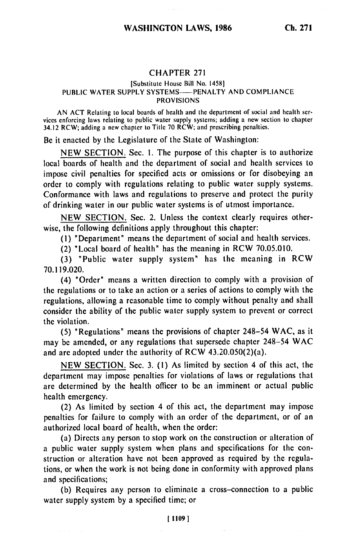## CHAPTER 271

## [Substitute House Bill No. 14581 PUBLIC WATER SUPPLY SYSTEMS-**--- PENALTY AND COMPLIANCE** PROVISIONS

AN ACT Relating to local boards of health and the department of social and health services enforcing laws relating to public water supply systems; adding a new section to chapter 34.12 RCW; adding a new chapter to Title 70 RCW; and prescribing penalties.

Be it enacted by the Legislature of the State of Washington:

NEW SECTION. Sec. I. The purpose of this chapter is to authorize local boards of health and the department of social and health services to impose civil penalties for specified acts or omissions or for disobeying an order to comply with regulations relating to public water supply systems. Conformance with laws and regulations to preserve and protect the purity of drinking water in our public water systems is of utmost importance.

NEW SECTION. Sec. 2. Unless the context clearly requires otherwise, the following definitions apply throughout this chapter:

(I) 'Department" means the department of social and health services.

(2) 'Local board of health" has the meaning in RCW 70.05.010.

(3) "Public water supply system" has the meaning in RCW 70.119.020.

(4) "Order" means a written direction to comply with a provision of the regulations or to take an action or a series of actions to comply with the regulations, allowing a reasonable time to comply without penalty and shall consider the ability of the public water supply system to prevent or correct the violation.

(5) "Regulations" means the provisions of chapter 248-54 WAC, as it may be amended, or any regulations that supersede chapter 248-54 WAC and are adopted under the authority of RCW 43.20.050(2)(a).

NEW SECTION. Sec. 3. (I) As limited by section 4 of this act, the department may impose penalties for violations of laws or regulations that are determined by the health officer to be an imminent or actual public health emergency.

(2) As limited by section 4 of this act, the department may impose penalties for failure to comply with an order of the department, or of an authorized local board of health, when the order:

(a) Directs any person to stop work on the construction or alteration of a public water supply system when plans and specifications for the construction or alteration have not been approved as required by the regulations, or when the work is not being done in conformity with approved plans and specifications;

(b) Requires any person to eliminate a cross-connection to a public water supply system by a specified time; or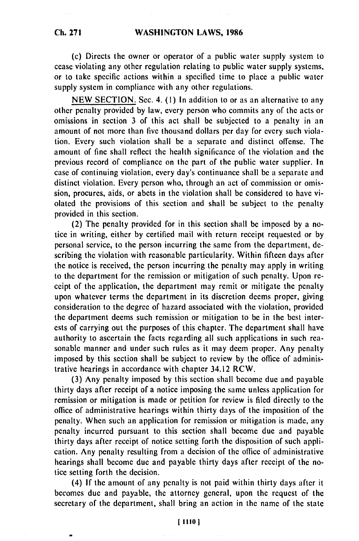## **WASHINGTON LAWS, 1986**

or to take specific actions within a specified time to place a public water

(c) Directs the owner or operator of a public water supply system to cease violating any other regulation relating to public water supply systems,

supply system in compliance with any other regulations.

NEW SECTION. Sec. 4. (1) In addition to or as an alternative to any other penalty provided by law, every person who commits any of the acts or omissions in section 3 of this act shall be subjected to a penalty in an amount of not more than five thousand dollars per day for every such violation. Every such violation shall be a separate and distinct offense. The amount of fine shall reflect the health significance of the violation and the previous record of compliance on the part of the public water supplier. In case of continuing violation, every day's continuance shall be a separate and distinct violation. Every person who, through an act of commission or omission, procures, aids, or abets in the violation shall be considered to have violated the provisions of this section and shall be subject to the penalty provided in this section.

(2) The penalty provided for in this section shall be imposed by a notice in writing, either by certified mail with return receipt requested or by personal service, to the person incurring the same from the department, describing the violation with reasonable particularity. Within fifteen days after the notice is received, the person incurring the penalty may apply in writing to the department for the remission or mitigation of such penalty. Upon receipt of the application, the department may remit or mitigate the penalty upon whatever terms the department in its discretion deems proper, giving consideration to the degree of hazard associated with the violation, provided the department deems such remission or mitigation to be in the best interests of carrying out the purposes of this chapter. The department shall have authority to ascertain the facts regarding all such applications in such reasonable manner and under such rules as it may deem proper. Any penalty imposed by this section shall be subject to review by the office of administrative hearings in accordance with chapter 34.12 RCW.

(3) Any penalty imposed by this section shall become due and payable thirty days after receipt of a notice imposing the same unless application for remission or mitigation is made or petition for review is filed directly to the office of administrative hearings within thirty days of the imposition of the penalty. When such an application for remission or mitigation is made, any penalty incurred pursuant to this section shall become due and payable thirty days after receipt of notice setting forth the disposition of such application. Any penalty resulting from a decision of the office of administrative hearings shall become due and payable thirty days after receipt of the notice setting forth the decision.

(4) If the amount of any penalty is not paid within thirty days after it becomes due and payable, the attorney general, upon the request of the secretary of the department, shall bring an action in the name of the state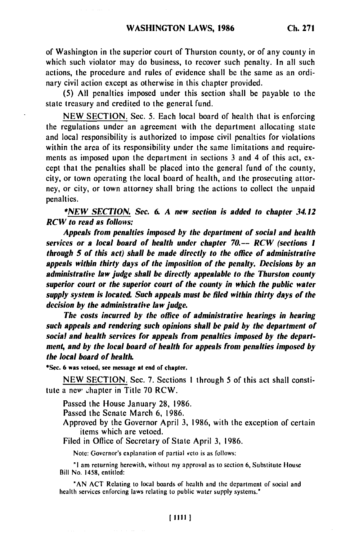of Washington in the superior court of Thurston county, or of any county in which such violator may do business, to recover such penalty. In all such actions, the procedure and rules of evidence shall be the same as an ordinary civil action except as otherwise in this chapter provided.

**(5) All** penalties imposed under this section shall **be** payable to the state treasury and credited to the general fund.

**NEW SECTION.** Sec. 5. Each local board of health that is enforcing the regulations under an agreement with the department allocating state and local responsibility is authorized to impose civil penalties for violations within the area of its responsibility under the same limitations and requirements as imposed upon the department in sections **3** and 4 of this act, **ex**cept that the penalties shall **be** placed into the general fund of the county, city, or town operating the local board of health, and the prosecuting attorney, or city, or town attorney shall bring the actions to collect the unpaid penalties.

**\*NEW SECTION. Sec. 6. A** *new section is added to chapter 34.12* **RCW to read as follows:**

*Appeals from penalties imposed by the* **department** *of social and health services or a local board of health under chapter 70.-- RCW (sections I through 5 of this act) shall be made directly to the office of administrative appeals within thirty days of the imposition of the penalty. Decisions by an administrative law judge shall be directly appealable to the Thurston county superior court or the superior court of the county in which the public water supply system is located. Such appeals must be filed within thirty days of the decision by the administrative law judge.*

*The costs incurred by the office of administrative hearings in hearing such appeals and rendering such opinions shall be paid by the department of social and health services for appeals from penalties imposed by the department, and by the local board of health for appeals from penalties imposed by the local board of health.*

**\*Sec. 6 was vetoed, see message at end of chapter.**

NEW SECTION. Sec. 7. Sections **I** through 5 of this act shall constitute a new chapter in Title 70 RCW.

Passed the House January **28,** 1986.

Passed the Senate March 6, 1986.

Approved by the Governor April 3, 1986, with the exception of certain items which are vetoed.

Filed in Oflice of Secretary of State April 3, 1986.

Note: Governor's explanation of partial veto is as follows:

**"I** am returning herewith, without **my** approval as to section **6,** Substitute House Bill No. 1458, entitled:

**'AN** ACT Relating to local boards of health and the department of social and health services enforcing laws relating to public water supply systems.\*